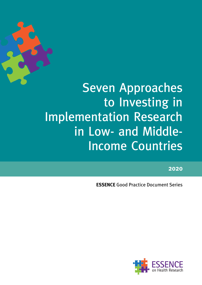

# Seven Approaches to Investing in Implementation Research in Low- and Middle-Income Countries

**2020**

**ESSENCE** Good Practice Document Series

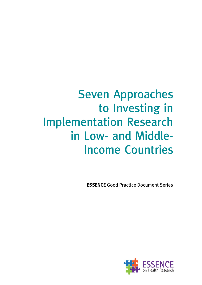# Seven Approaches to Investing in Implementation Research in Low- and Middle-Income Countries

**ESSENCE** Good Practice Document Series

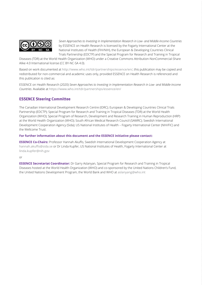

*Seven Approaches to Investing in Implementation Research in Low- and Middle-Income Countries* by ESSENCE on Health Research is licensed by the Fogarty International Center at the National Institutes of Health (FIH/NIH), the European & Developing Countries Clinical Trials Partnership (EDCTP) and the Special Program for Research and Training in Tropical

Diseases (TDR) at the World Health Organization (WHO) under a Creative Commons Attribution-NonCommercial-Share Alike 4.0 International license (CC BY-NC-SA 4.0).

Based on work documented at <http://www.who.int/tdr/partnerships/essence/en/>, this publication may be copied and redistributed for non-commercial and academic uses only, provided ESSENCE on Health Research is referenced and this publication is cited as:

ESSENCE on Health Research (2020) *Seven Approaches to Investing in Implementation Research in Low- and Middle-Income Countries*. Available at <https://www.who.int/tdr/partnerships/essence/en/>

#### **ESSENCE Steering Committee**

The Canadian International Development Research Centre (IDRC); European & Developing Countries Clinical Trials Partnership (EDCTP); Special Program for Research and Training in Tropical Diseases (TDR) at the World Health Organization (WHO); Special Program of Research, Development and Research Training in Human Reproduction (HRP) at the World Health Organization (WHO); South African Medical Research Council (SAMRC); Swedish International Development Cooperation Agency (Sida); US National Institutes of Health – Fogarty International Center (NIH/FIC) and the Wellcome Trust.

#### **For further information about this document and the ESSENCE initiative please contact:**

**ESSENCE Co-Chairs:** Professor Hannah Akuffo, Swedish International Development Cooperation Agency at [hannah.akuffo@sida.se](mailto:hannah.akuffo%40sida.se?subject=) or Dr Linda Kupfer, US National Institutes of Health, Fogarty International Center at [linda.kupfer@nih.gov](mailto:linda.kupfer%40nih.gov%20?subject=) 

#### or

**ESSENCE Secretariat Coordinator:** Dr Garry Aslanyan, Special Program for Research and Training in Tropical Diseases hosted at the World Health Organization (WHO) and co-sponsored by the United Nations Children's Fund, the United Nations Development Program, the World Bank and WHO at [aslanyang@who.int](mailto:aslanyang%40who.int?subject=)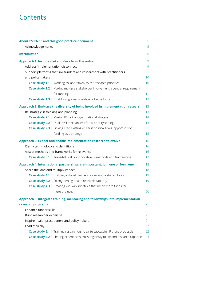# **Contents**

| <b>About ESSENCE and this good practice document</b>                                | 5  |
|-------------------------------------------------------------------------------------|----|
| Acknowledgements                                                                    | 5  |
| <b>Introduction</b>                                                                 | 6  |
| Approach 1: Include stakeholders from the outset                                    | 9  |
| Address 'implementation disconnect'                                                 | 9  |
| Support platforms that link funders and researchers with practitioners              |    |
| and policymakers                                                                    | 10 |
| <b>Case study 1.1</b>   Working collaboratively to set research priorities          | 10 |
| Case study 1.2   Making multiple stakeholder involvement a central requirement      |    |
| for funding                                                                         | 11 |
| Case study 1.3   Establishing a national-level alliance for IR                      | 12 |
| Approach 2: Embrace the diversity of being involved in implementation research      | 13 |
| Be strategic in thinking and planning                                               | 13 |
| <b>Case study 2.1</b>   Making IR part of organizational strategy                   | 14 |
| <b>Case study 2.2</b>   Dual-level mechanisms for IR priority setting               | 14 |
| Case study 2.3   Linking IR to existing or earlier clinical trials: opportunistic   |    |
| funding as a strategy                                                               | 15 |
| Approach 3: Expect and enable implementation research to evolve                     | 16 |
| Clarify terminology and definitions                                                 | 16 |
| Assess methods and frameworks for relevance                                         | 16 |
| <b>Case study 3.1</b> Trans-NIH call for innovative IR methods and frameworks       | 17 |
| Approach 4: International partnerships are important: join one or form one          | 18 |
| Share the load and multiply impact                                                  | 18 |
| <b>Case study 4.1</b> Building a global partnership around a shared focus           | 19 |
| <b>Case study 4.2</b> Strengthening health research capacity                        | 19 |
| <b>Case study 4.3</b>   Creating win-win initiatives that mean more funds for       |    |
| more projects                                                                       | 20 |
| Approach 5: Integrate training, mentoring and fellowships into implementation       |    |
| research programs                                                                   | 21 |
| Enhance funder skills                                                               | 21 |
| Build researcher expertise                                                          | 21 |
| Inspire health practitioners and policymakers                                       | 21 |
| Lead ethically                                                                      | 22 |
| <b>Case study 5.1</b> Training researchers to write successful IR grant proposals   | 22 |
| Case study 5.2   Sharing experiences cross-regionally to expand research capacities | 23 |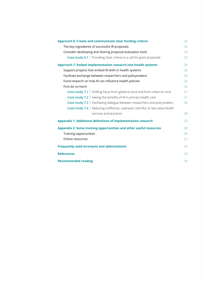| Approach 6: Create and communicate clear funding criteria                         | 24 |
|-----------------------------------------------------------------------------------|----|
| The key ingredients of successful IR proposals                                    | 24 |
| Consider developing and sharing proposal evaluation tools                         | 24 |
| Case study 6.1   Providing clear criteria in a call for grant proposals           | 25 |
| Approach 7: Embed implementation research into health systems                     | 26 |
| Support projects that embed IR skills in health systems                           | 26 |
| Facilitate exchange between researchers and policymakers                          | 26 |
| Fund research on how IR can influence health policies                             | 26 |
| First do no harm                                                                  | 26 |
| <b>Case study 7.1</b> Shifting focus from global to local and from urban to rural | 27 |
| <b>Case study 7.2</b> Seeing the benefits of IR in primary health care            | 27 |
| Case study 7.3   Facilitating dialogue between researchers and policymakers       | 28 |
| Case study 7.4   Reducing ineffective, unproven, harmful, or low-value health     |    |
| services and practices                                                            | 28 |
| <b>Appendix 1: Additional definitions of implementation research</b>              | 29 |
| Appendix 2: Some training opportunities and other useful resources                | 30 |
| Training opportunities                                                            | 30 |
| Online resources                                                                  | 31 |
| <b>Frequently used acronyms and abbreviations</b>                                 | 32 |
| <b>References</b>                                                                 | 33 |
| <b>Recommended reading</b>                                                        | 35 |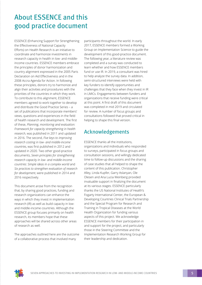# <span id="page-5-0"></span>About ESSENCE and this good practice document

ESSENCE (Enhancing Support for Strengthening the Effectiveness of National Capacity Efforts) on Health Research is an initiative to coordinate and harmonize investments in research capacity in health in low- and middleincome countries. ESSENCE members embrace the principles of donor harmonization and country alignment expressed in the 2005 Paris Declaration on Aid Effectiveness and in the 2008 Accra Agenda for Action. In following these principles, donors try to harmonize and align their activities and procedures with the priorities of the countries in which they work. To contribute to this alignment, ESSENCE members agreed to work together to develop and distribute the Good Practice Series – a set of publications that incorporate members' views, questions and experiences in the field of health research and development. The first of these, *Planning, monitoring and evaluation: Framework for capacity strengthening in health research*, was published in 2011 and updated in 2016. The second, *Five keys to improving research costing in low- and middle-income countries*, was first published in 2012 and updated in 2020. Two other good-practice documents, *Seven principles for strengthening research capacity in low- and middle-income countries: Simple ideas in a complex world* and *Six practices to strengthen evaluation of research for development*, were published in 2014 and 2016 respectively.

This document arose from the recognition that, by sharing good practices, funding and research organizations can enhance the ways in which they invest in implementation research (IR) as well as build capacity in lowand middle-income countries. Although the ESSENCE group focuses primarily on health research, its members hope that these approaches will be shared across other areas of research as well.

The approaches outlined here are the outcome of a collaborative process that involved many

participants throughout the world. In early 2017, ESSENCE members formed a Working Group on Implementation Science to guide the development of this good-practice document. The following year, a literature review was completed and a survey was conducted to learn whether and how ESSENCE members fund or use IR. In 2019, a consultant was hired to help analyze the survey data. In addition, semi-structured interviews were held with key funders to identify opportunities and challenges that they face when they invest in IR in LMICs. Engagements between funders and organizations that receive funding were critical at this point. A first draft of this document was completed in mid 2019 and circulated for review. A number of focus groups and consultations followed that proved critical in helping to shape this final version.

### Acknowledgements

ESSENCE thanks all the institutions, organizations and individuals who responded to surveys, participated in focus groups and consultation sessions, and willingly dedicated time to follow-up discussions and the sharing of case studies that all helped to shape the content of this publication. Christopher Alley, Linda Kupfer, Garry Aslanyan, Ole Olesen and Ana Lucia Weinberg provided invaluable support in finalizing the document at its various stages. ESSENCE particularly thanks the US National Institutes of Health's Fogarty International Center, the European & Developing Countries Clinical Trials Partnership and the Special Program for Research and Training in Tropical Diseases at the World Health Organization for funding various aspects of this project. We acknowledge ESSENCE members for their participation in and support for the project, and particularly those in the Steering Committee and the Implementation Research Working Group for their leadership and dedication.

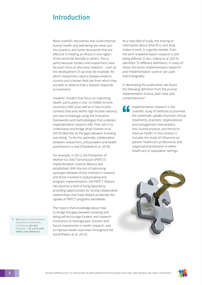### <span id="page-6-0"></span>Introduction

Many scientific discoveries that could improve human health and well-being are never put into practice, and some discoveries that are effective in treating an illness in one region of the world fail dismally in others. This is partly because funders and researchers have focused more on discovery research – such as the development of vaccines for example, for which researchers need a disease-endemic country and a known field site from which they are able to observe how a disease responds to treatment.

However, funders that focus on improving health, particularly in low- to middle-income countries (LMICs) (as well as in low-income contexts that exist within high-income nations), are now increasingly using the innovative frameworks and methodologies that underpin implementation research (IR). Their aim is to understand and bridge what Graham et al. (2018) describe as the gaps between 'knowing and doing'. To do this optimally, collaboration between researchers, policymakers and health practitioners is vital (Theobald et al. 2018).

For example, in 2012, the Prevention of Mother-to-Child Transmission (PMTCT) Implementation Science Alliance was established. With the aim of optimizing synergies between those involved in research and those involved in policymaking and program implementation, the PMTCT Alliance has become a kind of 'living laboratory', providing opportunities for strong collaborative relationships that have helped accelerate the uptake of PMTCT programs worldwide.

The hope is that knowledge about how to bridge the gaps between knowing and doing will encourage funders and research institutions to leverage past, present and future investments in health research, and to improve health outcomes throughout the world (Peters et al. 2013).

As a new field of study, the sharing of information about what IR is, and what makes it work, is urgently needed. Even the term 'implementation research' is still being defined. In fact, Odeny et al. (2015) identified 73 different definitions. In many of these, the terms 'implementation research' and 'implementation science' are used interchangeably.

In developing this publication, we found the following definition from the journal, *Implementation Science,* both clear and comprehensive:**<sup>1</sup>**

> Implementation research is the scientific study of methods to promote the systematic uptake of proven clinical treatments, practices, organizational, and management interventions into routine practice, and hence to improve health. In this context, it includes the study of influences on patient, healthcare professional, and organizational behavior in either healthcare or population settings.





**1** See [https://implementation](https://implementationscience.biomedcentral.com/about)  [science.biomedcentral.](https://implementationscience.biomedcentral.com/about) [com/about](https://implementationscience.biomedcentral.com/about); see also [Appendix 1](#page-29-0) for some other widely used definitions.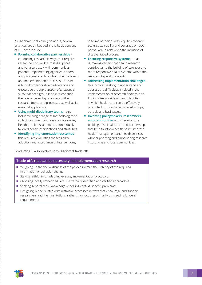As Theobald et al. (2018) point out, several practices are embedded in the basic concept of IR. These include:

- **Forming collaborative partnerships** conducting research in ways that require researchers to work across disciplines and to liaise closely with communities, patients, implementing agencies, donors and policymakers throughout their research and implementation processes. The aim is to build collaborative partnerships and encourage the *coproduction of knowledge*, such that each group is able to enhance the relevance and appropriacy of the research topics and processes, as well as its eventual application.
- **Using multi-disciplinary teams** this includes using a range of methodologies to collect, document and analyze data on key health problems, and to test contextually tailored health interventions and strategies.
- **Identifying implementation outcomes** this requires evaluating the feasibility, adoption and acceptance of interventions,

Conducting IR also involves some significant trade-offs.

in terms of their quality, equity, efficiency, scale, sustainability and coverage or reach – particularly in relation to the inclusion of disadvantaged groups.

- **Ensuring responsive systems** that is, making certain that health research contributes to the building of stronger and more responsive health systems within the realities of specific contexts.
- **Addressing implementation challenges** this involves seeking to understand and address the difficulties involved in the implementation of research findings, and finding sites outside of health facilities in which health care can be effectively promoted, such as in faith-based groups, schools and businesses.
- **Involving policymakers, researchers and communities** – this requires the building of solid alliances and partnerships that help to inform health policy, improve health management and health services, while supporting and empowering research institutions and local communities.

#### **Trade-offs that can be necessary in implementation research**

- Weighing up the thoroughness of the process versus the urgency of the required information or behavior change.
- Staving faithful to or adapting existing implementation protocols.
- Choosing locally embedded versus externally identified and verified approaches.
- Seeking generalizable knowledge or solving context-specific problems.
- Designing IR and related administrative processes in ways that encourage and support researchers and their institutions, rather than focusing primarily on meeting funders' requirements.

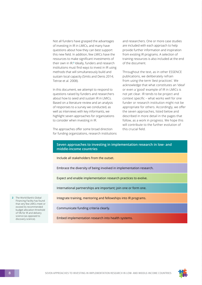Not all funders have grasped the advantages of investing in IR in LMICs, and many have questions about how they can best support this new field. In addition, few LMICs have the resources to make significant investments of their own in IR.**<sup>2</sup>** Ideally, funders and research institutions must find ways to invest in IR using methods that will simultaneously build and sustain local capacity (Smits and Denis 2014; Tetroe et al. 2008).

In this document, we attempt to respond to questions raised by funders and researchers about how to seed and sustain IR in LMICs. Based on a literature review and an analysis of responses to a survey we conducted, as well as interviews with key informants, we highlight seven approaches for organizations to consider when investing in IR.

The approaches offer some broad direction for funding organizations, research institutions and researchers. One or more case studies are included with each approach to help provide further information and inspiration from existing IR programs. A selection of training resources is also included at the end of the document.

Throughout the text, as in other ESSENCE publications, we deliberately refrain from using the term '*best* practices'. We acknowledge that what constitutes an 'ideal' or even a 'good' example of IR in LMICs is not yet clear. IR tends to be project and context specific – what works well for one funder or research institution might not be appropriate for others. Accordingly, we offer the seven approaches, listed below and described in more detail in the pages that follow, as a work in progress. We hope this will contribute to the further evolution of this crucial field.

#### **Seven approaches to investing in implementation research in low- and middle-income countries**

Include all stakeholders from the outset.

Embrace the diversity of being involved in implementation research.

Expect and enable implementation research practices to evolve.

International partnerships are important; join one or form one.

Integrate training, mentoring and fellowships into IR programs.

Communicate funding criteria clearly.

Embed implementation research into health systems.

**2** The World Bank's Global Financing Facility has found that very few LMICs meet or exceed its recommended budget allocation threshold of 5% for IR and delivery science (as opposed to discovery science).

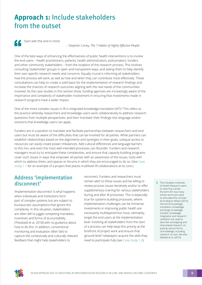## <span id="page-9-0"></span>**Approach 1:** Include stakeholders from the outset

Start with the end in mind.

– Stephen Covey, *The 7 Habits of Highly Effective People*

One of the best ways of enhancing the effectiveness of public health interventions is to involve the end-users – health practitioners, patients, health administrators, policymakers, funders and other community stakeholders – from the *inception* of the research process. This involves consulting 'stakeholder' groups in open and transparent ways, and asking them to help identify their own specific research needs and concerns. Equally crucial is informing all stakeholders how the process will work, as well as how and when they can contribute most effectively. These consultations can help to create a solid basis for the implementation of research findings and increase the chances of research outcomes aligning with the real needs of the communities involved. As the case studies in this section show, funding agencies are increasingly aware of the importance and complexity of stakeholder involvement in ensuring that investments made in research programs have a wider impact.

One of the more complex issues in IR is integrated knowledge translation (iKT). **3** This refers to the practice whereby researchers and knowledge-users work collaboratively to address research questions from multiple perspectives, and then 'translate' their findings into language and/or solutions that knowledge users can apply.

Funders are in a position to mandate and facilitate partnerships between researchers and endusers but must be aware of the difficulties that can be involved for all parties. While partners can establish relationships based on the alignments and synergies in their goals, unequal access to resources can easily create power imbalances. Add cultural differences and language barriers to this mix, and even the most well-intended processes can flounder. Funders and research managers must try to anticipate these complexities, and ensure that capacity building programs cover such issues in ways that empower all parties with an awareness of the issues, tools with which to address them, and spaces or forums in which they are encouraged to do so. (See [Case](#page-10-0)  [study 1.1](#page-10-0) for an example of a project that places multilevel IR collaborations at its core.)

### Address 'implementation disconnect'

'Implementation disconnect' is what happens when individuals and institutions form part of complex systems but are subject to bureaucratic assumptions that ignore this complexity. In this situation, stakeholders are often left to juggle competing mandates, incentives and forms of accountability (Theobald et al. 2018) with no guidance about how to do this. In addition, conventional monitoring and evaluation often fails to capture the contextually and culturally relevant feedback that might help stakeholders to

reconnect. Funders and researchers must remain alert to these issues and be willing to review process issues iteratively and/or to offer supplementary training for various stakeholders during and after IR processes. This is especially true for systems-building processes, where implementation challenges can be immense. Investments in improving public health are necessarily multilayered but must, ultimately, target the end-users at the implementation level. Involving all stakeholders from the start of a process can help keep this priority at the forefront of project work and ensure that 'ground level' roleplayers acquire the skills they need to participate fully (see [Case study 1.2\)](#page-11-0).

**3** The Canadian Institutes of Health Research seem to have first coined the term iKT, but many similar terms are used to articulate this concept According to Nilsen (2015), 'the terms knowledge translation, knowledge exchange, knowledge transfer, knowledge integration and research utilization are used to describe overlapping and interrelated research on putting various forms of knowledge, including research, to use'; see also Sibbald et al. (2014).

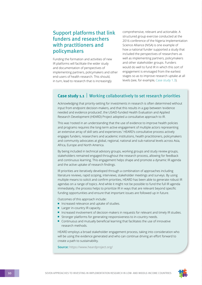### <span id="page-10-0"></span>Support platforms that link funders and researchers with practitioners and policymakers

Funding the formation and activities of new IR platforms will facilitate the wider study and documentation of perspectives of implementing partners, policymakers and other end-users of health research. This should, in turn, lead to research that is increasingly

comprehensive, relevant and actionable. A structured group exercise conducted at the 2016 conference of the Nigeria Implementation Science Alliance (NISA) is one example of how a national funder supported a study that included the perspectives of researchers as well as implementing partners, policymakers and other stakeholder groups. Funders would do well to fund IR in which this sort of engagement is envisaged from the earliest stages so as to improve research uptake at all levels (see, for example, [Case study 1.3\)](#page-12-0).

### **Case study 1.1** Working collaboratively to set research priorities

Acknowledging that priority-setting for investments in research is often determined without input from endpoint decision-makers, and that this results in a gap between 'evidence needed and evidence produced', the USAID-funded Health Evaluation and Applied Research Development (HEARD) Project adopted a consultative approach to IR.

This was 'rooted in an understanding that the use of evidence to improve health policies and programs requires the long-term active engagement of multiple actors representing an extensive array of skill sets and experiences.' HEARD's consultative process actively engages funders, researchers and academic institutions, health practitioners, policymakers and community advocates at global, regional, national and sub-national levels across Asia, Africa, Europe and North America.

By being included in technical advisory groups, working groups and study review groups, stakeholders remained engaged throughout the research process, allowing for feedback and continuous learning. This engagement helps shape and promote a dynamic IR agenda and the active uptake of research findings.

IR priorities are iteratively developed through a combination of approaches including literature reviews, rapid scoping, interviews, stakeholder meetings and surveys. By using multiple means to solicit and confirm priorities, HEARD has been able to generate robust IR agendas on a range of topics. And while it might not be possible to fund the full IR agenda immediately, the process helps to prioritize IR in ways that are relevant beyond specific funding opportunities and ensure that important issues are followed up in future.

Outcomes of this approach include:

- Increased relevance and uptake of studies.
- Larger in-country IR capacity.
- Increased involvement of decision-makers in requests for relevant and timely IR studies.
- Stronger platforms for generating responsiveness to in-country needs.
- Continuous and mutually beneficial learning that facilitates the use of innovative research methods.

HEARD employs a broad stakeholder engagement process, taking into consideration who will be using the evidence generated and who can continue driving an effort forward to create a path to sustainability.

**Source:** https://www.heardproject.org/

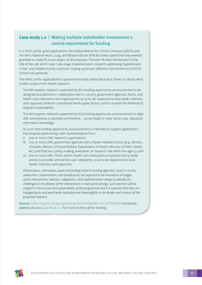### <span id="page-11-0"></span>**Case study 1.2** | Making multiple stakeholder involvement a central requirement for funding

In a 2015 call for grant applications, the Global Alliance for Chronic Diseases (GACD) and the NIH's National Heart, Lung, and Blood Institute (NHLBI) clearly stated that they wanted grantees to make IR a core aspect of all proposals. The term IR even formed part of the title of the call, which read: 'Late-stage implementation research addressing hypertension in low- and middle-income countries: Scaling up proven-effective interventions (UG3/UH3 clinical trial optional).'

The NIH's call for applications is quoted extensively below because it shows so clearly what funders expect from health research:

The NIH expects research supported by this funding opportunity announcement to be designed and planned *in collaboration* with in-country government agencies, NGOs, and health care institutions and organizations so as to: be *responsive to local needs*, interests, and capacities; *embrace cultural and health system factors*; and to *increase the likelihood of long-term sustainability*.

The NIH expects research supported by this funding opportunity announcement *to align with commitments or planned commitments … across health or other sectors (e.g., education, information technology)*.

As such, this funding opportunity announcement is intended to support applications that propose partnerships with representatives from:

- i) one or more LMIC research organizations;
- ii) one or more LMIC government agencies with a health-related function (e.g., Ministry of Health; Ministry of Social Welfare; Department of Health; Ministry of Public Health, etc.) and that has a policy-making, evaluation, or research role within the agency; and
- iii) one or more LMIC NGOs and/or health care institutions or systems that provide access to provider and service user viewpoints, so as to be responsive to local needs, interests, and capacities.

*Policymakers, intervention payers (excluding research funding agencies), local in-country researchers, implementers, and beneficiaries are expected to be involved at all stages of the interventions' selection, adaptation, and implementation design to identify the challenges to the delivery of the interventions in real world settings. Such partners will be integral to the success and sustainability of the programme and it is essential that they are engaged early and participate equitably and meaningfully in the design and conduct of the proposed research.* 

**Source:** <https://grants.nih.gov/grants/guide/rfa-files/RFA-HL-20-005.html> (emphasis added); see also [Case study 6.1](#page-25-0) for more on this call for funding.

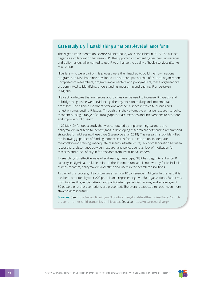#### <span id="page-12-0"></span>**Case study 1.3** Establishing a national-level alliance for IR

The Nigeria Implementation Science Alliance (NISA) was established in 2015. The alliance began as a collaboration between PEPFAR-supported implementing partners, universities and policymakers, who wanted to use IR to enhance the quality of health services (Sturke et al. 2014).

Nigerians who were part of this process were then inspired to build their own national program, and NISA has since developed into a robust partnership of 20 local organizations. Comprised of researchers, program implementers and policymakers, these organizations are committed to identifying, understanding, measuring and sharing IR undertaken in Nigeria.

NISA acknowledges that numerous approaches can be used to increase IR capacity and to bridge the gaps between evidence gathering, decision-making and implementation processes. The alliance members offer one another a space in which to discuss and reflect on cross-cutting IR issues. Through this, they attempt to enhance research-to-policy resonance, using a range of culturally appropriate methods and interventions to promote and improve public health.

In 2018, NISA funded a study that was conducted by implementing partners and policymakers in Nigeria to identify gaps in developing research capacity and to recommend strategies for addressing these gaps (Ezeanolue et al. 2018). The research study identified the following gaps: lack of funding; poor research focus in education; inadequate mentorship and training; inadequate research infrastructure; lack of collaboration between researchers; dissonance between research and policy agendas; lack of motivation for research and a lack of buy-in for research from institutional leaders.

By searching for effective ways of addressing these gaps, NISA has begun to enhance IR capacity in Nigeria at multiple points in the IR continuum, and is noteworthy for its inclusion of implementers, policymakers and other end-users in the search for solutions.

As part of this process, NISA organizes an annual IR conference in Nigeria. In the past, this has been attended by over 200 participants representing over 50 organizations. Executives from top health agencies attend and participate in panel discussions, and an average of 60 posters or oral presentations are presented. The event is expected to reach even more stakeholders in future.

**Sources:** See [https://www.fic.nih.gov/About/center-global-health-studies/Pages/pmtct](https://www.fic.nih.gov/About/center-global-health-studies/Pages/pmtct-prevent-mother-child-transmission-hiv.aspx)[prevent-mother-child-transmission-hiv.aspx](https://www.fic.nih.gov/About/center-global-health-studies/Pages/pmtct-prevent-mother-child-transmission-hiv.aspx). See also https://nisaresearch.org/

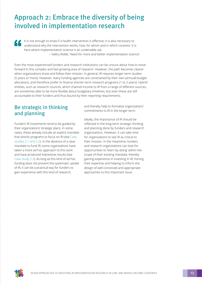# <span id="page-13-0"></span>Approach 2: Embrace the diversity of being involved in implementation research

It is not enough to know if a health intervention is effective; it is also necessary to understand why the intervention works, how, for whom and in which contexts. It is here where implementation science is an undeniable aid. – Valéry Ridde, 'Need for more and better implementation science'

Even the most experienced funders and research institutions can be unsure about how to move forward in this complex and fast-growing area of research. However, the path becomes clearer when organizations know and follow their mission. In general, IR requires longer-term studies (5 years or more). However, many funding agencies are constrained by their own (annual) budget allocations, and therefore prefer to finance shorter-term research programs (1 to 2 years). Hybrid entities, such as research councils, which channel income to IR from a range of different sources, are sometimes able to be more flexible about budgetary timelines, but even these are still accountable to their funders and thus bound by their reporting requirements.

### Be strategic in thinking and planning

Funders' IR investments tend to be guided by their organizations' strategic plans. In some cases, these already include an explicit mandate that directs programs to focus on IR (see [Case](#page-14-0)  [studies 2.1 and 2.2](#page-14-0)). In the absence of a clear mandate to fund IR, some organizations have taken a more ad hoc approach to this work and have produced impressive results (see [Case study 2.3](#page-15-0)). As long as this kind of ad hoc funding does not prevent the systematic uptake of IR, it can be a practical way for funders to gain experience with this kind of research,

and thereby help to formalize organizations' commitments to IR in the longer term.

Ideally, the importance of IR should be reflected in the long-term strategic thinking and planning done by funders and research organizations. However, it can take time for organizations to see IR as critical to their mission. In the meantime, funders and research organizations can look for opportunities to 'learn by doing' within the scope of their existing mandate, thereby gaining experience in investing in IR, honing their expertise and helping to inform the design of well-conceived and appropriate approaches to this important issue.

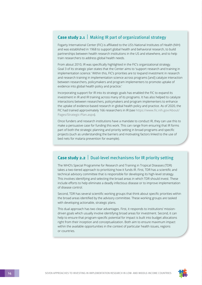### <span id="page-14-0"></span>**Case study 2.1** | Making IR part of organizational strategy

Fogarty International Center (FIC) is affiliated to the US's National Institutes of Health (NIH) and was established in 1968 to support global health and behavioral research, to build partnerships between health research institutions in the US and elsewhere, and to help train researchers to address global health needs.

From about 2010, IR was specifically highlighted in the FIC's organizational strategy. Goal 3 of its strategic plan states that the Center aims to 'support research and training in implementation science.' Within this, FIC's priorities are to 'expand investment in research and research training in implementation science across programs [and] catalyze interaction between researchers, policymakers and program implementers to promote uptake of evidence into global health policy and practice.'

Incorporating support for IR into its strategic goals has enabled the FIC to expand its investment in IR and IR training across many of its programs. It has also helped to catalyze interactions between researchers, policymakers and program implementers to enhance the uptake of evidence-based research in global health policy and practice. As of 2020, the FIC had trained approximately 166 researchers in IR (see [https://www.fic.nih.gov/About/](https://www.fic.nih.gov/About/Pages/Strategic-Plan.aspx) [Pages/Strategic-Plan.aspx](https://www.fic.nih.gov/About/Pages/Strategic-Plan.aspx)).

Once funders and research institutions have a mandate to conduct IR, they can use this to make a persuasive case for funding this work. This can range from ensuring that IR forms part of both the strategic planning and priority setting in broad programs and specific projects (such as understanding the barriers and motivating factors linked to the use of bed nets for malaria prevention for example).

#### **Case study 2.2** Dual-level mechanisms for IR priority setting

The WHO's Special Programme for Research and Training in Tropical Diseases (TDR) takes a two-tiered approach to prioritizing how it funds IR. First, TDR has a scientific and technical advisory committee that is responsible for developing its high-level strategy. This involves identifying and selecting the broad areas in which TDR should invest. These include efforts to help eliminate a deadly infectious disease or to improve implementation of disease control.

Second, TDR has several scientific working groups that think about specific priorities within the broad areas identified by the advisory committee. These working groups are tasked with developing actionable, strategic plans.

This dual approach has two clear advantages. First, it responds to institutions' missiondriven goals which usually involve identifying broad areas for investment. Second, it can help to ensure that program-specific potential for impact is built into budget allocations right from their inception and conceptualization. Both aim to ensure maximum impact within the available opportunities in the context of particular health issues, regions or countries.

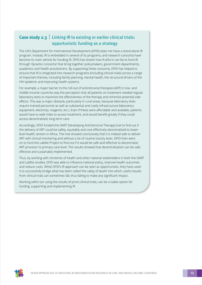### <span id="page-15-0"></span>**Case study 2.3** | Linking IR to existing or earlier clinical trials: opportunistic funding as a strategy

The UK's Department for International Development (DFID) does not have a stand-alone IR program. Instead, IR is embedded in several of its programs, and research consortia have become its main vehicle for funding IR. DFID has shown how fruitful it can be to fund IR through 'dynamic consortia' that bring together policymakers, government departments, academics and health practitioners. By supporting these consortia, DFID has helped to ensure that IR is integrated into research programs (including clinical trials) across a range of important themes, including family planning, mental health, the structural drivers of the HIV epidemic and improving health systems.

For example, a major barrier to the roll-out of antiretroviral therapies (ART) in low- and middle-income countries was the perception that all patients on treatment needed regular laboratory tests to maximize the effectiveness of the therapy and minimize potential side effects. This was a major obstacle, particularly in rural areas, because laboratory tests require trained personnel as well as substantial and costly infrastructure (laboratory equipment, electricity, reagents, etc.). Even if these were affordable and available, patients would have to walk miles to access treatment, and would benefit greatly if they could access decentralized, long-term care.

Accordingly, DFID funded the DART (Developing Antiretroviral Therapy) trial to find out if the delivery of ART could be safely, equitably and cost-effectively decentralized to lowerlevel health centers in Africa. The trial showed conclusively that it is indeed safe to deliver ART with clinical monitoring and without a lot of routine toxicity tests. DFID then went on to fund the Lablite Project to find out if it would be safe and effective to decentralize ART provision to primary-care level. The results showed that decentralization can be safe, effective and sustainably implemented.

Thus, by working with ministries of health and other national stakeholders in both the DART and Lablite studies, DFID was able to influence national policy, improve health outcomes and reduce costs. While DFID's IR approach can be seen as opportunistic, they have used it to successfully bridge what has been called 'the valley of death' into which useful results from clinical trials can sometimes fall, thus failing to make any significant impact.

Working within (or using the results of prior) clinical trials, can be a viable option for funding, supporting and implementing IR.

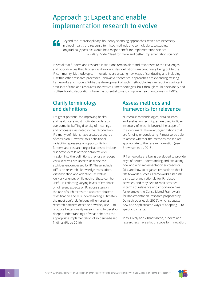### <span id="page-16-0"></span>Approach 3: Expect and enable implementation research to evolve

Beyond the interdisciplinary, boundary-spanning approaches, which are necessary in global health, the recourse to mixed methods and to multiple case studies, if longitudinally possible, would be a major benefit for implementation science. – Valéry Ridde, 'Need for more and better implementation science'

It is vital that funders and research institutions remain alert and responsive to the challenges and opportunities that IR offers as it evolves. New definitions are continually being put to the IR community. Methodological innovations are creating new ways of conducting and including IR within other research processes. Innovative theoretical approaches are extending existing frameworks and models. While the development of such methodologies can require significant amounts of time and resources, innovative IR methodologies, built through multi-disciplinary and multisectoral collaborations, have the potential to vastly improve health outcomes in LMICs.

### Clarify terminology and definitions

IR's great potential for improving health and health care must motivate funders to overcome its baffling diversity of meanings and processes. As noted in the introduction, IR's many definitions have created a degree of confusion. However, this definitional variability represents an opportunity for funders and research organizations to include distinctive details of their organization's mission into the definitions they use or adopt. Various terms are used to describe the activities encompassed by IR. These include 'diffusion research', 'knowledge translation', 'dissemination and adoption', as well as 'delivery science'. While each of these can be useful in reflecting varying levels of emphasis on different aspects of IR, inconsistency in the use of such terms can also contribute to mystification and misunderstanding. Ultimately, the most useful definitions will emerge as research partners describe how they use IR to produce better quality research and to develop deeper understandings of what enhances the appropriate implementation of evidence-based findings (Ridde 2016).

### Assess methods and frameworks for relevance

Numerous methodologies, data sources and evaluation techniques are used in IR, an inventory of which is beyond the scope of this document. However, organizations that are funding or conducting IR must to be able to assess whether the methods chosen are appropriate to the research question (see Brownson et al. 2018).

IR frameworks are being developed to provide ways of better understanding and explaining how and why implementation succeeds or fails, and how to organize research so that it tilts towards success. Frameworks establish a structure and rationale for IR-related activities, and they help to rank activities in terms of relevance and importance. See for example, the Consolidated Framework for Implementation Research proposed by Damschroder et al. (2009), which suggests new and sophisticated ways of adapting IR to specific contexts.

In this lively and vibrant arena, funders and researchers have a lot of scope for innovation.

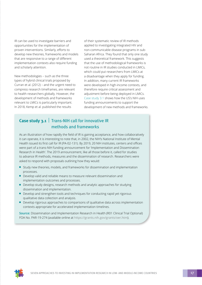<span id="page-17-0"></span>IR can be used to investigate barriers and opportunities for the implementation of proven interventions. Similarly, efforts to develop new theories, frameworks and models that are responsive to a range of different implementation contexts also require funding and scholarly attention.

New methodologies – such as the three types of hybrid clinical trials proposed by Curran et al. (2012) – and the urgent need to compress research timeframes, are relevant to health researchers globally. However, the development of methods and frameworks relevant to LMICs is particularly important. In 2018, Kemp et al. published the results

of their systematic review of IR methods applied to investigating integrated HIV and non-communicable disease programs in sub-Saharan Africa. They found that only one study used a theoretical framework. This suggests that the use of methodological frameworks is not routine in IR studies conducted in LMICs, which could put researchers from LMICs at a disadvantage when they apply for funding. In addition, many current IR frameworks were developed in high-income contexts, and therefore require critical assessment and adjustment before being deployed in LMICs. Case study 3.1 shows how the US's NIH uses funding announcements to support the development of new methods and frameworks.

### **Case study 3.1** Trans-NIH call for innovative IR methods and frameworks

As an illustration of how rapidly the field of IR is gaining acceptance, and how collaboratively it can operate, it is interesting to note that, in 2002, the NIH's National Institute of Mental Health issued its first call for IR (PA-02-131). By 2019, 20 NIH institutes, centers and offices were part of a trans-NIH funding announcement for 'Implementation and Dissemination Research in Health'. The 2019 announcement, like all those before it, called for studies to advance IR methods, measures and the dissemination of research. Researchers were asked to respond with proposals outlining how they would:

- Study new theories, models, and frameworks for dissemination and implementation processes.
- Develop valid and reliable means to measure relevant dissemination and implementation outcomes and processes.
- Develop study designs, research methods and analytic approaches for studying dissemination and implementation.
- Develop and strengthen tools and techniques for conducting rapid yet rigorous qualitative data collection and analysis.
- Develop rigorous approaches to comparisons of qualitative data across implementation contexts appropriate for accelerated implementation timelines.

**Source:** [Dissemination and Implementation Research in Health \(R01 Clinical Trial Optional\)](file:///Volumes/Jenny%20Work%20Folder%202/Work%20Folder%202/World%20Health%20Organisation/../../Edit 01 back from Garry/Dissemination and Implementation Research in Health (R01 Clinical Trial Optional) FOA No. PAR-19-274)  [FOA No. PAR-19-274](file:///Volumes/Jenny%20Work%20Folder%202/Work%20Folder%202/World%20Health%20Organisation/../../Edit 01 back from Garry/Dissemination and Implementation Research in Health (R01 Clinical Trial Optional) FOA No. PAR-19-274) (available online at https://grants.nih.gov/grants/oer.htm).

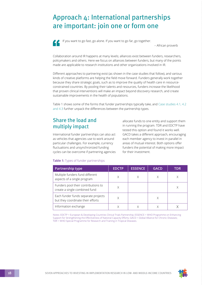### <span id="page-18-0"></span>Approach 4: International partnerships are important: join one or form one



If you want to go fast, go alone. If you want to go far, go together.

– African proverb

Collaboration around IR happens at many levels; alliances exist between funders, researchers, policymakers and others. Here we focus on alliances between funders, but many of the points made are applicable to research institutions and other organizations involved in IR.

Different approaches to partnering exist (as shown in the case studies that follow), and various kinds of creative platforms are helping the field move forward. Funders generally work together because they share strategic goals, such as to improve the quality of health care in resourceconstrained countries. By pooling their talents and resources, funders increase the likelihood that proven clinical interventions will make an impact beyond discovery research, and create sustainable improvements in the health of populations.

Table 1 shows some of the forms that funder partnerships typically take, and [Case studies 4.1, 4.2](#page-19-0) and [4.3](#page-20-0) further unpack the differences between the partnership types.

### Share the load and multiply impact

International funder partnerships can also act as vehicles that agencies use to work around particular challenges. For example, currency fluctuations and unsynchronized funding cycles can be overcome if partnering agencies allocate funds to one entity and support them in running the program. TDR and EDCTP have tested this option and found it works well. GACD takes a different approach, encouraging each member agency to invest in parallel in areas of mutual interest. Both options offer funders the potential of making more impact for their investment.

#### **Table 1:** Types of funder partnerships

| <b>Partnership type</b>                                                  | <b>EDCTP</b> | <b>ESSENCE</b> | <b>GACD</b> | TDR |
|--------------------------------------------------------------------------|--------------|----------------|-------------|-----|
| Multiple funders fund different<br>aspects of a single program           | Χ            |                |             |     |
| Funders pool their contributions to<br>create a single combined fund     | X            |                |             |     |
| Each funder funds separate projects<br>but they coordinate their efforts | Χ            |                |             |     |
| Information exchange                                                     |              |                |             |     |

Notes: EDCTP = European & Developing Countries Clinical Trials Partnership; ESSENCE = WHO Programme on Enhancing Support for Strengthening the Effectiveness of National Capacity Efforts; GACD = Global Alliance for Chronic Diseases; TDR = WHO Special Programme for Research and Training in Tropical Diseases.

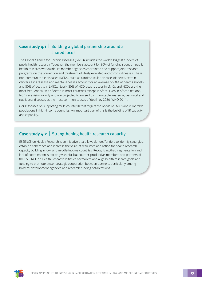### <span id="page-19-0"></span>**Case study 4.1** Building a global partnership around a shared focus

The Global Alliance for Chronic Diseases (GACD) includes the world's biggest funders of public health research. Together, the members account for 80% of funding spent on public health research worldwide. Its member agencies coordinate and support joint research programs on the prevention and treatment of lifestyle-related and chronic illnesses. These non-communicable diseases (NCDs), such as cardiovascular disease, diabetes, certain cancers, lung disease and mental illnesses account for an average of 60% of deaths globally and 80% of deaths in LMICs. Nearly 80% of NCD deaths occur in LMICs and NCDs are the most frequent causes of death in most countries except in Africa. Even in African nations, NCDs are rising rapidly and are projected to exceed communicable, maternal, perinatal and nutritional diseases as the most common causes of death by 2030 (WHO 2011).

GACD focuses on supporting multi-country IR that targets the needs of LMICs and vulnerable populations in high-income countries. An important part of this is the building of IR capacity and capability.

#### **Case study 4.2** Strengthening health research capacity

ESSENCE on Health Research is an initiative that allows donors/funders to identify synergies, establish coherence and increase the value of resources and action for health research capacity building in low- and middle-income countries. Recognizing that fragmentation and lack of coordination is not only wasteful but counter-productive, members and partners of the ESSENCE on Health Research Initiative harmonize and align health research goals and funding to promote better strategic cooperation between partners, particularly among bilateral development agencies and research funding organizations.

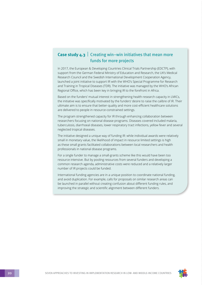#### <span id="page-20-0"></span>**Case study 4.3** Creating win–win initiatives that mean more funds for more projects

In 2017, the European & Developing Countries Clinical Trials Partnership (EDCTP), with support from the German Federal Ministry of Education and Research, the UK's Medical Research Council and the Swedish International Development Cooperation Agency, launched a joint initiative to support IR with the WHO's Special Programme for Research and Training in Tropical Diseases (TDR). The initiative was managed by the WHO's African Regional Office, which has been key in bringing IR to the forefront in Africa.

Based on the funders' mutual interest in strengthening health-research capacity in LMICs, the initiative was specifically motivated by the funders' desire to raise the calibre of IR. Their ultimate aim is to ensure that better-quality and more cost-efficient healthcare solutions are delivered to people in resource-constrained settings.

The program strengthened capacity for IR through enhancing collaboration between researchers focusing on national disease programs. Diseases covered included malaria, tuberculosis, diarrhoeal diseases, lower respiratory tract infections, yellow fever and several neglected tropical diseases.

The initiative designed a unique way of funding IR: while individual awards were relatively small in monetary value, the likelihood of impact in resource limited settings is high as these small grants facilitated collaborations between local researchers and health professionals in national disease programs.

For a single funder to manage a small-grants scheme like this would have been too resource intensive. But by pooling resources from several funders and developing a common research agenda, administrative costs were reduced and a relatively larger number of IR projects could be funded.

International funding agencies are in a unique position to coordinate national funding, and avoid duplication. For example, calls for proposals on similar research areas can be launched in parallel without creating confusion about different funding rules, and improving the strategic and scientific alignment between different funders.

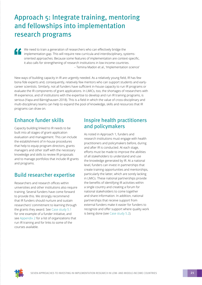### <span id="page-21-0"></span>Approach 5: Integrate training, mentoring and fellowships into implementation research programs

We need to train a generation of researchers who can effectively bridge the implementation gap. This will require new curricula and interdisciplinary, systemsoriented approaches. Because some features of implementation are context-specific, it also calls for strengthening of research institutions in low-income countries. – Temina Madon et al., 'Implementation science'

New ways of building capacity in IR are urgently needed. As a relatively young field, IR has few bona fide experts and, consequently, relatively few mentors who can support students and earlycareer scientists. Similarly, not all funders have sufficient in-house capacity to run IR programs or evaluate the IR components of grant applications. In LMICs, too, the shortages of researchers with IR experience, and of institutions with the expertise to develop and run IR training programs, is serious (Yapa and Bärnighausen 2018). This is a field in which the value of cross-disciplinary and multi-disciplinary teams can help to expand the pool of knowledge, skills and resources that IR programs can draw on.

### Enhance funder skills

Capacity building linked to IR needs to be built into all stages of grant-application evaluation and management. This can include the establishment of in-house procedures that help to equip program directors, grants managers and other staff with the necessary knowledge and skills to review IR proposals and to manage portfolios that include IR grants and programs.

### Build researcher expertise

Researchers and research offices within universities and other institutions also require training. Several funders have come forward to provide this. We strongly recommend that IR funders should nurture and sustain researchers' commitment to learning through the grants they award. See [Case study 5.1](#page-22-0) for one example of a funder initiative, and see [Appendix 2](#page-30-0) for a list of organizations that run IR training and for links to some of the courses available.

### Inspire health practitioners and policymakers

As noted in Approach 1, funders and research institutions must engage with health practitioners and policymakers before, during and after IR is conducted. At each stage, efforts must be made to improve the abilities of all stakeholders to understand and use the knowledge generated by IR. At a national level, funders can invest in partnerships that create training opportunities and mentorships, particularly the latter, which are sorely lacking in LMICs. These national partnerships provide the benefits of identifying IR activities within a single country and creating a forum for national stakeholders to come together and share information. In addition, national partnerships that receive support from external funders make it easier for funders to recognize and offer support where quality work is being done (see [Case study 5.2\)](#page-23-0).

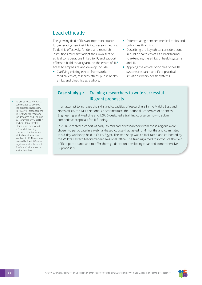### <span id="page-22-0"></span>Lead ethically

The growing field of IR is an important source for generating new insights into research ethics. To do this effectively, funders and research institutions must first adopt their own sets of ethical considerations linked to IR, and support efforts to build capacity around the ethics of IR.**<sup>4</sup>** Areas to emphasize and develop include:

- Clarifying existing ethical frameworks in medical ethics, research ethics, public health ethics and bioethics as a whole.
- Differentiating between medical ethics and public health ethics.
- Describing the key ethical considerations in public health ethics as a background to extending the ethics of health systems and IR.
- Applying the ethical principles of health systems research and IR to practical situations within health systems.

#### **Case study 5.1** Training researchers to write successful IR grant proposals

In an attempt to increase the skills and capacities of researchers in the Middle East and North Africa, the NIH's National Cancer Institute, the National Academies of Sciences, Engineering and Medicine and USAID designed a training course on how to submit competitive proposals for IR funding.

In 2016, a targeted cohort of early- to mid-career researchers from these regions were chosen to participate in a webinar-based course that lasted for 4 months and culminated in a 3-day workshop held in Cairo, Egypt. The workshop was co-facilitated and co-hosted by the WHO's Eastern Mediterranean Regional Office. The training aimed to introduce the field of IR to participants and to offer them guidance on developing clear and comprehensive IR proposals.

**4** To assist research ethics committees to develop the expertise necessary to review IR protocols, the WHO's Special Program for Research and Training in Tropical Diseases (TDR) and its Global Health Ethics team developed a 6-module training course on the important ethical considerations involved in IR. The course manual is titled, *[Ethics in](https://apps.who.int/iris/bitstream/handle/10665/325608/9789241515375-eng.pdf)  [Implementation Research:](https://apps.who.int/iris/bitstream/handle/10665/325608/9789241515375-eng.pdf)  [Facilitator's Guide](https://apps.who.int/iris/bitstream/handle/10665/325608/9789241515375-eng.pdf)* and is available online.

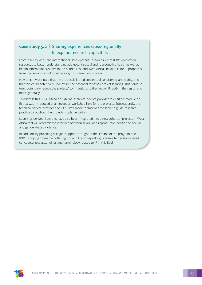### <span id="page-23-0"></span>**Case study 5.2** Sharing experiences cross-regionally to expand research capacities

From 2017 to 2020, the International Development Research Centre (IDRC) dedicated resources to better understanding adolescent sexual and reproductive health as well as health information systems in the Middle East and West Africa. Initial calls for IR proposals from the region was followed by a rigorous selection process.

However, it was noted that the proposals lacked conceptual consistency and clarity, and that this could potentially undermine the potential for cross-project learning. This could, in turn, potentially reduce the projects' contributions to the field of IR, both in the region and more generally.

To address this, IDRC asked an external technical service provider to design a module on IR that was introduced at an inception workshop held for the projects. Subsequently, the technical service provider and IDRC staff made themselves available to guide research practice throughout the projects' implementation.

Learnings derived from this have also been integrated into a new cohort of projects in West Africa that will research the interface between sexual and reproductive health and sexual and gender-based violence.

In addition, by providing bilingual support throughout the lifetime of the program, the IDRC is hoping to enable both English- and French-speaking IR teams to develop shared conceptual understandings and terminology related to IR in this field.

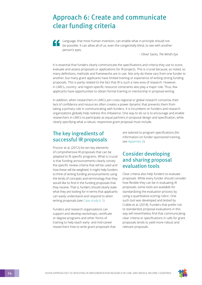# <span id="page-24-0"></span>Approach 6: Create and communicate clear funding criteria

Language, that most human invention, can enable what in principle should not be possible. It can allow all of us, even the congenitally blind, to see with another person's eyes.

– Oliver Sacks, *The Mind's Eye*

It is essential that funders clearly communicate the specifications and criteria they use to score, evaluate and assess proposals or applications for IR projects. This is crucial because, as noted, so many definitions, methods and frameworks are in use. Not only do these vary from one funder to another, but many grant applicants have limited training or experience of writing strong funding proposals. This is partly related to the fact that IR is such a new area of research. However, in LMICs, country- and region-specific resource constraints also play a major role. Thus, few applicants have opportunities to obtain formal training or mentorship in proposal writing.

In addition, when researchers in LMICs join cross-regional or global research consortia, their lack of confidence and resources often creates a power dynamic that prevents them from taking a primary role in communicating with funders. It is incumbent on funders and research organizations globally help redress this imbalance. One way to do so is to encourage and enable researchers in LMICs to participate as equal partners in proposal design and specification, while clearly specifying what a robust, responsive grant proposal must include.

### The key ingredients of successful IR proposals

Proctor et al. (2012) list ten key elements of comprehensive IR proposals that can be adapted to fit specific programs. What is crucial is that funding announcements clearly convey the specific review criteria that will be used and how these will be weighted. It might help funders to think of writing funding announcements using the kinds of concepts and terminology that they would like to find in the funding proposals that they receive. That is, funders should clearly state what they are looking for in terms that applicants can easily understand and respond to when writing proposals (see [Case study 6.1](#page-25-0)).

Funders and research organizations can support and develop workshops, certificate or degree programs and other forms of training to help teach early- and mid-career researchers how to write grant proposals that are tailored to program specifications (for information on funder-sponsored training, see [Appendix 2\)](#page-30-0).

### Consider developing and sharing proposal evaluation tools

Clear criteria also help funders to evaluate proposals. While every funder should consider how flexible they can be in evaluating IR proposals, some tools are available for standardizing the evaluation process by using a quantitative scoring rubric. One such tool was developed and tested by Crable et al. (2018). Funders that prefer not to standardize proposal evaluations in this way will nevertheless find that communicating clear criteria or specifications in calls for grant proposals tends to yield more robust and relevant proposals.

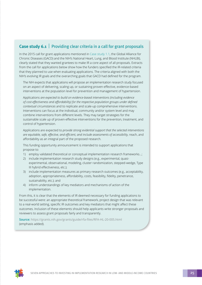#### <span id="page-25-0"></span>**Case study 6.1** Providing clear criteria in a call for grant proposals

In the 2015 call for grant applications mentioned in [Case study 1.1](#page-10-0), the Global Alliance for Chronic Diseases (GACD) and the NIH's National Heart, Lung, and Blood Institute (NHLBI), clearly stated that they wanted grantees to make IR a core aspect of all proposals. Extracts from the call for applications below show how the funders specified the IR-related criteria that they planned to use when evaluating applications. The criteria aligned with both the NIH's evolving IR goals and the overarching goals that GACD had defined for the program.

The NIH expects that applications will propose an implementation research study focused on an aspect of delivering, scaling up, or sustaining proven-effective, evidence-based interventions at the population level for prevention and management of hypertension.

Applications *are expected to build on evidence-based interventions (including evidence of cost-effectiveness and affordability) for the respective population groups under defined contextual circumstances* and to replicate and scale-up comprehensive interventions. Interventions can focus at the individual, community and/or system level and may combine interventions from different levels. They may target strategies for the sustainable scale up of proven-effective interventions for the prevention, treatment, and control of hypertension.

Applications are expected to *provide strong evidential support that the selected interventions are equitable, safe, effective, and efficient, and include assessments of accessibility,* reach, and affordability as an integral part of the proposed research.

This funding opportunity announcement is intended to support applications that propose to:

- 1) employ validated theoretical or conceptual implementation research frameworks…;
- 2) include implementation research study designs (e.g., experimental, quasiexperimental, observational, modeling, cluster randomization, stepped-wedge, Type III hybrid effectiveness, etc.);
- 3) include implementation measures as primary research outcomes (e.g., acceptability, adoption, appropriateness, affordability, costs, feasibility, fidelity, penetrance, sustainability, etc.); and
- 4) inform understandings of key mediators and mechanisms of action of the implementation.

From this, it is clear that the elements of IR deemed necessary for funding applications to be successful were: an appropriate theoretical framework, project design that was relevant to a real-world setting, specific IR outcomes and key mediators that might affect these outcomes. Inclusion of these elements should help applicants write stronger proposals and reviewers to assess grant proposals fairly and transparently.

**Source:** https://grants.nih.gov/grants/guide/rfa-files/RFA-HL-20-005.html (emphasis added).

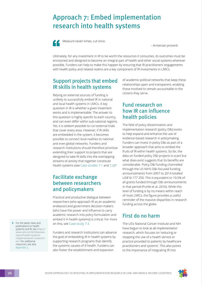### <span id="page-26-0"></span>Approach 7: Embed implementation research into health systems



Measure seven times, cut once.

– Armenian proverb

Ultimately, for any investment in IR to be worth the resources it consumes, its outcomes must be envisioned and designed to become an integral part of health and other social systems wherever possible. Funders can help to make this happen by ensuring that IR practitioners' engagements with health policy and related realms are a key component of IR investments in LMICs.

### Support projects that embed IR skills in health systems

Relying on external sources of funding is unlikely to successfully embed IR in national and local health systems in LMICs. A key question in IR is whether a given treatment works and is implementable. The answer to this question is highly specific to each country, and can even differ within sub-national regions. Yet, it is seldom possible to run external trials that cover every area. However, if IR skills are embedded in the system, it becomes possible to connect local realities to national and even global networks. Funders and research institutions should therefore prioritize extending their support to projects that are designed to take IR skills into the overlapping streams of activity that together constitute health systems (see [Case studies 7.1](#page-27-0) and [7.2\)](#page-27-0).**<sup>5</sup>**

### Facilitate exchange between researchers and policymakers

Practical and productive dialogue between researchers (who approach IR as an academic endeavor) and government decision-makers (who have the power and influence to carry academic research into policy formulation and embed it in health systems) is critical. For more on this, see [Case study 7.3.](#page-28-0)

Funders and research institutions can advance the goal of embedding IR in health systems by supporting research programs that identify the systemic causes of ill health. Funders can also foster the establishment and expansion

of academic-political networks that keep these relationships open and transparent, enabling those involved to remain accountable to the citizens they serve.

### Fund research on how IR can influence health policies

The field of policy dissemination and implementation research (policy D&I) exists to help expand and enhance the use of evidence-based research in policymaking. Funders can invest in policy D&I as part of a broader approach that aims to embed the fruits of IR within health systems. So far, the data on funded policy D&I projects is scant but what does exist suggests that its benefits are considerable. Policy D&I funding channelled through the US NIH's D&I-focused funding announcements from 2007 to 2014 totalled US\$16 177 250. This is equivalent to 10.5% of all grants funded through D&I announcements in that period (Purtle et al. 2016). While this level of funding is by no means within reach of most LMICs, the figure provides a useful reminder of the massive disparities in research funding across the globe.

### First do no harm

The US's National Cancer Institute and NIH have begun to look at *de-implementation* research, which focuses on 'reducing or stopping the use of a health service or practice provided to patients by healthcare practitioners and systems'. This also points to the importance of integrating IR into

**5** For the latest news and publications on health systems and IR, see [https://](https://www.who.int/tdr/diseases-topics/health-systems-implementation-research/en/) [www.who.int/tdr/diseases](https://www.who.int/tdr/diseases-topics/health-systems-implementation-research/en/)[topics/health-systems](https://www.who.int/tdr/diseases-topics/health-systems-implementation-research/en/)[implementation-research/](https://www.who.int/tdr/diseases-topics/health-systems-implementation-research/en/) [en/](https://www.who.int/tdr/diseases-topics/health-systems-implementation-research/en/). For additional resources, see also [Appendix 2.](#page-30-0)

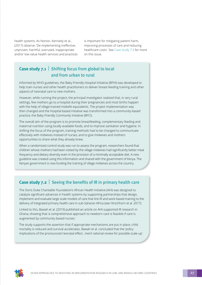<span id="page-27-0"></span>health systems. As Norton, Kennedy et al., (2017) observe: 'De-implementing ineffective, unproven, harmful, overused, inappropriate and/or low-value health services and practices is important for mitigating patient harm, improving processes of care and reducing healthcare costs'. See [Case study 7.4](#page-28-0) for more on this issue.

### **Case study 7.1** Shifting focus from global to local and from urban to rural

Informed by WHO guidelines, the Baby-Friendly Hospital Initiative (BFHI) was developed to help train nurses and other health practitioners to deliver breast-feeding training and other aspects of neonatal care to new mothers.

However, while running the project, the principal investigator realized that, in very rural settings, few mothers go to a hospital during their pregnancies and most births happen with the help of village-trained midwife equivalents. The project implementation was then changed and the hospital-based initiative was transformed into a community-based practice, the Baby Friendly *Community* Initiative (BFCI).

The overall aim of the program is to promote breastfeeding, complementary feeding and maternal nutrition using locally available foods, and to improve sanitation and hygiene. In shifting the focus of the program, training methods had to be changed to communicate effectively with midwives instead of nurses, and to give midwives and mothers opportunities to share what they already knew.

When a randomized control study was run to assess the program, researchers found that children whose mothers had been visited by the village midwives had significantly better meal frequency and dietary diversity even in the provision of a minimally acceptable diet. A new guideline was created using this information and shared with the government of Kenya. The Kenyan government is now funding the training of village midwives across the country.

#### **Case study 7.2** Seeing the benefits of IR in primary health care

The Doris Duke Charitable Foundation's African Health Initiative (AHI) was designed to catalyze significant advances in health systems by supporting partnerships that design, implement and evaluate large-scale models of care that link IR and work-based training to the delivery of integrated primary health care in sub-Saharan Africa (see Hirschhorn et al. 2017).

Linked to this, Bawah et al. (2019) published an article on AHI-supported IR research in Ghana, showing that 'a comprehensive approach to newborn care is feasible if care is augmented by community-based nurses.'

The study supports the assertion that if appropriate mechanisms are put in place, child mortality is reduced and survival accelerates. Bawah et al. concluded that the 'policy implications of the pronounced neonatal effect…merit national review for possible scale-up'.

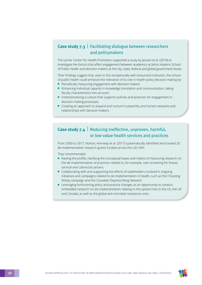#### <span id="page-28-0"></span>**Case study 7.3** Facilitating dialogue between researchers and policymakers

The Lerner Center for Health Promotion supported a study by Jessani et al. (2018) to investigate the factors that affect engagement between academics at Johns Hopkins School of Public Health and decision-makers at the city, state, federal and global government levels.

Their findings suggest that, even in this exceptionally well-resourced institution, the school of public health could enhance the relevance of its role in health policy decision-making by:

- Periodically measuring engagement with decision-makers.
- Enhancing individual capacity in knowledge translation and communication, taking faculty characteristics into account.
- Institutionalizing a culture that supports policies and practices for engagement in decision-making processes.
- Creating an approach to expand and nurture trustworthy and honest networks and relationships with decision-makers.

### **Case study 7.4** Reducing ineffective, unproven, harmful, or low-value health services and practices

From 2000 to 2017, Norton, Kennedy et al. (2017) systematically identified and tracked 20 de-implementation research grants funded across the US's NIH.

They recommended:

- Raising the profile, clarifying the conceptual bases and means of measuring research on the de-implementation of practices related to, for example, over-screening for breast, cervical and colorectal cancers.
- Collaborating with and supporting the efforts of stakeholders involved in ongoing initiatives and campaigns related to de-implementation in health, such as the Choosing Wisely campaign and the Canadian Deprescribing Network.
- Leveraging forthcoming policy and practice changes as an opportunity to conduct embedded research on de-implementation relating to the opioid crisis in the US, the UK and Canada, as well as the global anti-microbial resistance crisis.

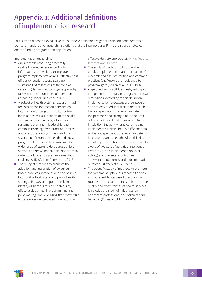# <span id="page-29-0"></span>Appendix 1: Additional definitions of implementation research

This is by no means an exhaustive list, but these definitions might provide additional reference points for funders and research institutions that are incorporating IR into their core strategies and/or funding programs and applications.

Implementation research is:

- Any research producing practically usable knowledge (evidence, findings, information, etc.) which can improve program implementation (e.g., effectiveness, efficiency, quality, access, scale-up, sustainability) regardless of the type of research (design, methodology, approach) falls within the boundaries of operations research (Global Fund et al. n.d.: 11).
- A subset of health systems research [that] focuses on the interaction between an intervention or program and its context. It looks at how various aspects of the health system such as financing, information systems, government leadership and community engagement function, interact and affect the piloting of new, and the scaling up of promising, health and social programs. It requires the engagement of a wide range of stakeholders across different sectors and draws on multiple disciplines in order to address complex implementation challenges (IDRC, from Peters et al. 2013).
- The study of methods to promote the adoption and integration of evidencebased practices, interventions and policies into routine health care and public health settings. IR plays an important role in identifying barriers to, and enablers of, effective global health programming and policymaking, and leveraging that knowledge to develop evidence-based innovations in

effective delivery approaches ([NIH's Fogarty](https://www.fic.nih.gov/ResearchTopics/Pages/ImplementationScience.aspx)  [International Cent](https://www.fic.nih.gov/ResearchTopics/Pages/ImplementationScience.aspx)er).

- The study of methods to improve the uptake, implementation and translation of research findings into routine and common practices (the 'know-do' or 'evidence-toprogram' gap) (Padian et al. 2011: 199).
- A specified set of activities designed to put into practice an activity or program of known dimensions. According to this definition, implementation processes are purposeful and are described in sufficient detail such that independent observers can detect the presence and strength of the 'specific set of activities' related to implementation. In addition, the activity or program being implemented is described in sufficient detail so that independent observers can detect its presence and strength. When thinking about implementation the observer must be aware of two sets of activities (interventionlevel activity and implementation-level activity) and two sets of outcomes (intervention outcomes and implementation outcomes) (Fixsen et al. 2005: 5).
- The scientific study of methods to promote the systematic uptake of research findings and other evidence-based practices into routine practice, and, hence, to improve the quality and effectiveness of health services. It includes the study of influences on healthcare professional and organizational behavior' (Eccles and Mittman 2006: 1).

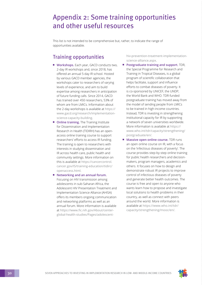### <span id="page-30-0"></span>Appendix 2: Some training opportunities and other useful resources

This list is not intended to be comprehensive but, rather, to indicate the range of opportunities available.

### Training opportunities

- **Workshops.** Each year, GACD conducts two, 2-day IR workshops and, since 2018, has offered an annual 5-day IR school. Hosted by various GACD member agencies, the workshops cater to researchers of varying levels of experience, and aim to build expertise among researchers in anticipation of future funding calls. Since 2014, GACD has trained over 450 researchers, 53% of whom are from LMICs. Information about the 2-day workshops is available at [https://](https://www.gacd.org/research/implementation-science-capacity-building) [www.gacd.org/research/implementation](https://www.gacd.org/research/implementation-science-capacity-building)[science-capacity-building](https://www.gacd.org/research/implementation-science-capacity-building).
- **Online training.** The Training Institute for Dissemination and Implementation Research in Health (TIDIRH) has an openaccess online training course to support researchers' efforts to access IR funding. The training is open to researchers with interests in studying dissemination and IR across health care, public health and community settings. More information on this is available at [https://cancercontrol.](https://cancercontrol.cancer.gov/IS/training-education/tidirc/openaccess.html) [cancer.gov/IS/training-education/tidirc/](https://cancercontrol.cancer.gov/IS/training-education/tidirc/openaccess.html) [openaccess.html](https://cancercontrol.cancer.gov/IS/training-education/tidirc/openaccess.html).
- **Networking and an annual forum.** Focusing on HIV transmission among adolescents in sub-Saharan Africa, the Adolescent HIV Presentation Treatment and Implementation Science Alliance (AHISA) offers its members ongoing communication and networking platforms as well as an annual forum. More information is available at [https://www.fic.nih.gov/About/center](https://www.fic.nih.gov/About/center-global-health-studies/Pages/adolescent-hiv-prevention-treatment-implementation-science-alliance.aspx)[global-health-studies/Pages/adolescent-](https://www.fic.nih.gov/About/center-global-health-studies/Pages/adolescent-hiv-prevention-treatment-implementation-science-alliance.aspx)

[hiv-prevention-treatment-implementation](https://www.fic.nih.gov/About/center-global-health-studies/Pages/adolescent-hiv-prevention-treatment-implementation-science-alliance.aspx)[science-alliance.aspx](https://www.fic.nih.gov/About/center-global-health-studies/Pages/adolescent-hiv-prevention-treatment-implementation-science-alliance.aspx).

- **Postgraduate training and support.** TDR, the Special Programme for Research and Training in Tropical Diseases, is a global program of scientific collaboration that helps facilitate, support and influence efforts to combat diseases of poverty. It is co-sponsored by UNICEF, the UNDP, the World Bank and WHO. TDR-funded postgraduate training has moved away from the model of sending people from LMICs to be trained in high-income countries. Instead, TDR is investing in strengthening institutional capacity for IR by supporting a network of seven universities worldwide. More information is available at [https://](https://www.who.int/tdr/capacity/strengthening/postgraduate/en/) [www.who.int/tdr/capacity/strengthening/](https://www.who.int/tdr/capacity/strengthening/postgraduate/en/) [postgraduate/en/](https://www.who.int/tdr/capacity/strengthening/postgraduate/en/).
- **Massive open online course.** TDR runs an open online course on IR, with a focus on the 'infectious diseases of poverty'. The course provides step-by-step online training for public health researchers and decisionmakers, program managers, academics and others. It focuses on how to design and demonstrate robust IR projects to improve control of infectious diseases of poverty and generate better health outcomes. The course is free and open to anyone who wants learn how to propose and investigate local solutions to health problems in their country, as well as connect with peers around the world. More information is available at [https://www.who.int/tdr/](https://www.who.int/tdr/capacity/strengthening/mooc/en/) [capacity/strengthening/mooc/en/](https://www.who.int/tdr/capacity/strengthening/mooc/en/).

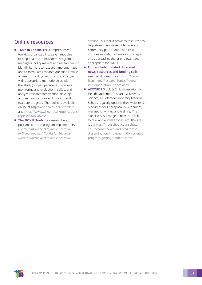### <span id="page-31-0"></span>Online resources

- **TDR's IR Toolkit.** This comprehensive toolkit is organized into seven modules to help healthcare providers, program managers, policy makers and researchers to identify barriers to research implementation and to formulate research questions; make a case for funding; set up a study design with appropriate methodologies; plan the study (budget, personnel, timelines, monitoring and evaluation); collect and analyze research information; develop a dissemination plan and monitor and evaluate progress. The toolkit is available online at <http://adphealth.org/irtoolkit/> and [https://www.who.int/tdr/publications/](https://www.who.int/tdr/publications/topics/ir-toolkit/en/) [topics/ir-toolkit/en/](https://www.who.int/tdr/publications/topics/ir-toolkit/en/).
- **The FIC's IR Toolkit** for researchers, policymakers and program implementers, *[Overcoming Barriers to Implementation](https://www.fic.nih.gov/About/center-global-health-studies/neuroscience-implementation-toolkit/Pages/default.aspx)  [in Global Health: A Toolkit for Engaging](https://www.fic.nih.gov/About/center-global-health-studies/neuroscience-implementation-toolkit/Pages/default.aspx)  [Diverse Stakeholders in Implementation](https://www.fic.nih.gov/About/center-global-health-studies/neuroscience-implementation-toolkit/Pages/default.aspx)*

*[Science](https://www.fic.nih.gov/About/center-global-health-studies/neuroscience-implementation-toolkit/Pages/default.aspx).* This toolkit provides resources to help strengthen stakeholder interactions, community participation and IR. It includes models, frameworks, strategies and approaches that are relevant and appropriate for LMICs.

- **For regularly updated IR-related news, resources and funding calls**, see the FIC's website at [https://www.](https://www.fic.nih.gov/ResearchTopics/Pages/ImplementationScience.aspx) [fic.nih.gov/ResearchTopics/Pages/](https://www.fic.nih.gov/ResearchTopics/Pages/ImplementationScience.aspx) [ImplementationScience.aspx](https://www.fic.nih.gov/ResearchTopics/Pages/ImplementationScience.aspx).
- **[ACCORDS](https://medschool.cuanschutz.edu/accords/cores-and-programs/dissemination-implementation-science-program/getting-funded-DandI)** (Adult & Child Consortium for Health Outcomes Research & Delivery Science) at Colorado University Medical School, regularly updates their website with resources for IR proposal development, manuscript writing and training. The site also has a range of news and links to relevant journal articles, etc. The site is at [https://medschool.cuanschutz.](https://medschool.cuanschutz.edu/accords/cores-and-programs/dissemination-implementation-science-program/getting-funded-DandI) [edu/accords/cores-and-programs/](https://medschool.cuanschutz.edu/accords/cores-and-programs/dissemination-implementation-science-program/getting-funded-DandI) [dissemination-implementation-science](https://medschool.cuanschutz.edu/accords/cores-and-programs/dissemination-implementation-science-program/getting-funded-DandI)[program/getting-funded-DandI](https://medschool.cuanschutz.edu/accords/cores-and-programs/dissemination-implementation-science-program/getting-funded-DandI).

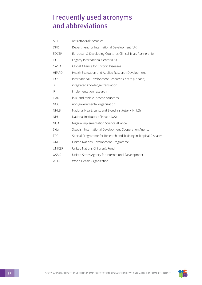## <span id="page-32-0"></span>Frequently used acronyms and abbreviations

| ART           | antiretroviral therapies                                         |
|---------------|------------------------------------------------------------------|
| <b>DFID</b>   | Department for International Development (UK)                    |
| <b>EDCTP</b>  | European & Developing Countries Clinical Trials Partnership      |
| <b>FIC</b>    | Fogarty International Center (US)                                |
| <b>GACD</b>   | Global Alliance for Chronic Diseases                             |
| <b>HEARD</b>  | Health Evaluation and Applied Research Development               |
| <b>IDRC</b>   | International Development Research Centre (Canada)               |
| iKT           | integrated knowledge translation                                 |
| IR.           | implementation research                                          |
| <b>LMIC</b>   | low- and middle-income countries                                 |
| <b>NGO</b>    | non-governmental organization                                    |
| <b>NHLBI</b>  | National Heart, Lung, and Blood Institute (NIH, US)              |
| <b>NIH</b>    | National Institutes of Health (US)                               |
| <b>NISA</b>   | Nigeria Implementation Science Alliance                          |
| Sida          | Swedish International Development Cooperation Agency             |
| <b>TDR</b>    | Special Programme for Research and Training in Tropical Diseases |
| <b>UNDP</b>   | United Nations Development Programme                             |
| <b>UNICEF</b> | United Nations Children's Fund                                   |
| <b>USAID</b>  | United States Agency for International Development               |
| <b>WHO</b>    | World Health Organization                                        |

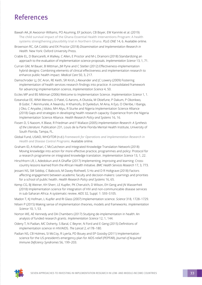# <span id="page-33-0"></span>References

- Bawah AA, JK Awoonor-Williams, PO Asuming, EF Jackson, CB Boyer, EW Kanmiki et al. (2019) [The child survival impact of the Ghana Essential Health Interventions Program: A health](https://journals.plos.org/plosone/article?id=10.1371/journal.pone.0218025)  [systems strengthening plausibility trial in Northern Ghana](https://journals.plos.org/plosone/article?id=10.1371/journal.pone.0218025). *PLoS ONE* 14, 6. Available online.
- Brownson RC, GA Colditz and EK Proctor (2018) *Dissemination and Implementation Research in Health*. New York: Oxford University Press.
- Crable EL, D Biancarelli, A Walkey, C Allen, E Proctor and M-L Drainoni (2018) Standardizing an approach to the evaluation of implementation science proposals. *Implementation Science* 13, 1, 71.
- Curran GM, M Bauer, B Mittman, JM Pyne and C Stetler (2012) Effectiveness-implementation hybrid designs: Combining elements of clinical effectiveness and implementation research to enhance public health impact. *Medical Care* 50, 3, 217.
- Damschroder LJ, DC Aron, RE Keith, SR Kirsh, J Alexander and JC Lowery (2009) Fostering implementation of health services research findings into practice: A consolidated framework for advancing implementation science, *Implementation Science* 4, 50.
- Eccles MP and BS Mittman (2006) Welcome to Implementation Science. *Implementation Science* 1, 1.
- Ezeanolue EE, WNA Menson, D Patel, G Aarons, A Olutola, M Obiefune, P Dakum, P Okonkwo, B Gobir, T Akinmurele, A Nwandu, H Khamofu, B Oyeledun, M Aina, A Eyo, O Oleribe, I Ibanga, J Oko, C Anyaike, J Idoko, MH Aliyu, R Sturke and Nigeria Implementation Science Alliance (2018) Gaps and strategies in developing health research capacity: Experience from the Nigeria Implementation Science Alliance. *Health Research Policy and Systems* 16, 16.
- Fixsen D, S Naoom, K Blase, R Friedman and F Wallace (2005) *Implementation Research: A Synthesis of the Literature*. Publication 231, Louis de la Parte Florida Mental Health Institute, University of South Florida, Tampa, FL.
- Global Fund, USAID, WHO/TDR (n.d.) *[Framework for Operations and Implementation Research in](https://www.who.int/hiv/pub/operational/or_framework.pdf)  [Health and Disease Control Programs](https://www.who.int/hiv/pub/operational/or_framework.pdf)*. Available online.
- Graham ID, A Kothari, C McCutcheon and Integrated Knowledge Translation Network (2018) Moving knowledge into action for more effective practice, programmes and policy: Protocol for a research programme on integrated knowledge translation. *Implementation Science* 13, 1, 22.
- Hirschhorn LR, L Adedokun and A Ghaffar (2017) Implementing, improving and learning: Crosscountry lessons learned from the African Health Initiative. *BMC Health Services Research* 17, 3, 773.
- Jessani NS, SM Siddiqi, C Babcock, M Davey-Rothwell, S Ho and D R Holtgrave (2018) Factors affecting engagement between academic faculty and decision-makers: Learnings and priorities for a school of public health. *Health Research Policy and Systems* 16, 65.
- Kemp CG, BJ Weiner, KH Sherr, LE Kupfer, PK Cherutich, D Wilson, EH Geng and JN Wasserheit (2018) Implementation science for integration of HIV and non-communicable disease services in sub-Saharan Africa: A systematic review. *AIDS* 32, Suppl. 1: S93–S105.
- Madon T, KJ Hofman, L Kupfer and RI Glass (2007) Implementation science. *Science* 318, 1728–1729.
- Nilsen P (2015) Making sense of implementation theories, models and frameworks. *Implementation Science* 10, 1, 53.
- Norton WE, AE Kennedy and DA Chambers (2017) Studying de-implementation in health: An analysis of funded research grants. *Implementation Science* 12, 1, 144.
- Odeny T, N Padian, MC Doherty, S Baral, C Beyrer, N Ford and E Geng (2015) Definitions of implementation science in HIV/AIDS. *The Lancet* 2, e178–180.
- Padian NS, CB Holmes, SI McCoy, R Lyerla, PD Bouey and EP Goosby (2011) Implementation science for the US president's emergency plan for AIDS relief (PEPFAR). *Journal of Acquired Immune Deficiency Syndromes* 56, 199–203.

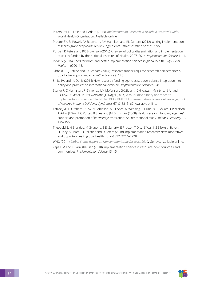- Peters DH, NT Tran and T Adam (2013) *[Implementation Research in Health: A Practical Guide](https://www.who.int/alliance-hpsr/resources/implementationresearchguide/en/)*. World Health Organization. Available online.
- Proctor EK, BJ Powell, AA Baumann, AM Hamilton and RL Santens (2012) Writing implementation research grant proposals: Ten key ingredients. *Implementation Science* 7, 96.
- Purtle J, R Peters and RC Brownson (2016) A review of policy dissemination and implementation research funded by the National Institutes of Health, 2007–2014. *Implementation Science* 11, 1.
- Ridde V (2016) Need for more and better implementation science in global health. *BMJ Global Health* 1, e000115.
- Sibbald SL, J Tetroe and ID Graham (2014) Research funder required research partnerships: A qualitative inquiry. *Implementation Science* 9, 176.
- Smits PA and J-L Denis (2014) How research funding agencies support science integration into policy and practice: An international overview. *Implementation Science* 9, 28.
- Sturke R, C Harmston, RJ Simonds, LM Mofenson, GK Siberry, DH Watts, J McIntyre, N Anand, L Guay, D Castor, P Brouwers and JD Nagel (2014) [A multi-disciplinary approach to](https://www.who.int/hiv/pub/journal_articles/inspire_11.pdf?ua=1)  [implementation science: The NIH-PEPFAR PMTCT Implementation Science Alliance](https://www.who.int/hiv/pub/journal_articles/inspire_11.pdf?ua=1). *Journal of Acquired Immune Deficiency Syndromes* 67, S163–S167. Available online.
- Tetroe JM, ID Graham, R Foy, N Robinson, MP Eccles, M Wensing, P Durieux, F LéGaré, CP Nielson, A Adily, JE Ward, C Porter, B Shea and JM Grimshaw (2008) Health research funding agencies' support and promotion of knowledge translation: An international study. *Milbank Quarterly* 86, 125–155.
- Theobald S, N Brandes, M Gyapong, S El-Saharty, E Proctor, T Diaz, S Wanji, S Elloker, J Raven, H Elsey, S Bharal, D Pelletier and D Peters (2018) Implementation research: New imperatives and opportunities in global health. *Lancet* 392, 2214–2228.
- WHO (2011) *[Global Status Report on Noncommunicable Diseases 2010](https://www.who.int/nmh/publications/ncd_report_full_en.pdf).* Geneva. Available online.
- Yapa HM and T Bärnighausen (2018) Implementation science in resource-poor countries and communities. *Implementation Science* 13, 154.

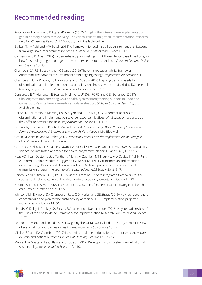# <span id="page-35-0"></span>Recommended reading

- Awoonor-Williams JK and E Appiah-Denkyira (2017) [Bridging the intervention–implementation](https://bmchealthservres.biomedcentral.com/articles/10.1186/s12913-017-2663-8)  [gap in primary health care delivery: The critical role of integrated implementation research](https://bmchealthservres.biomedcentral.com/articles/10.1186/s12913-017-2663-8). *BMC Health Services Research* 17, Suppl. 3, 772. Available online.
- Barker PM, A Reid and MW Schall (2016) A framework for scaling up health interventions: Lessons from large-scale improvement initiatives in Africa. *Implementation Science* 11, 12.
- Cairney P and K Oliver (2017) Evidence-based policymaking is not like evidence-based medicine, so how far should you go to bridge the divide between evidence and policy? *Health Research Policy and Systems* 15, 35.
- Chambers DA, RE Glasgow and KC Stange (2013) The dynamic sustainability framework: Addressing the paradox of sustainment amid ongoing change. *Implementation Science* 8, 117.
- Chambers DA, EK Proctor, RC Brownson and SE Straus (2017) Mapping training needs for dissemination and implementation research: Lessons from a synthesis of existing D&I research training programs. *Translational Behavioral Medicine* 7, 593–601.
- Dansereau E, Y Miangotar, E Squires, H Mimche, UNDG, IFORD and C El-Bcheraoui (2017) [Challenges to implementing Gavi's health system strengthening support in Chad and](https://globalizationandhealth.biomedcentral.com/articles/10.1186/s12992-017-0310-0)  [Cameroon: Results from a mixed-methods evaluation](https://globalizationandhealth.biomedcentral.com/articles/10.1186/s12992-017-0310-0). *Globalization and Health* 13, 83. Available online.
- Darnell D, CN Dorsey, A Melvin, J Chi, AR Lyon and CC Lewis (2017) A content analysis of dissemination and implementation science resource initiatives: What types of resources do they offer to advance the field? *Implementation Science* 12, 1, 137.
- Greenhalgh T, G Robert, P Bate, F Macfarlane and O Kyriakidou (2005) *Diffusion of Innovations in Service Organisations: A Systematic Literature Review*. Malden, MA: Blackwell.
- Grol R, M Wensing and M Eccles (2005) *Improving Patient Care: The Implementation of Change in Clinical Practice*. Edinburgh: Elsevier.
- Gruen RL, JH Elliott, ML Nolan, PD Lawton, A Parkhill, CJ McLaren and JN Lavis (2008) Sustainability science: An integrated approach for health-programme planning. *Lancet* 372, 1579–1589.
- Haas AD, JJ van Oosterhout, L Tenthani, A Jahn, M Zwahlen, MT Msukwa, M-A Davies, K Tal, N Phiri, A Spoerri, F Chimbwandira, M Egger and O Keiser (2017) HIV transmission and retention in care among HIV-exposed children enrolled in Malawi's prevention of mother-to-child transmission programme. *Journal of the International AIDS Society* 20, 21947.
- Harvey G and A Kitson (2016) PARIHS revisited: From heuristic to integrated framework for the successful implementation of knowledge into practice. *Implementation Science* 11, 33.
- Hoomans T and JL Severens (2014) Economic evaluation of implementation strategies in health care. *Implementation Science* 9, 168.
- Johnson AM, JE Moore, DA Chambers, J Rup, C Dinyarian and SE Straus (2019) How do researchers conceptualize and plan for the sustainability of their NIH R01 implementation projects? *Implementation Science* 14, 50.
- Kirk MA, C Kelley, N Yankey, SA Birken, B Abadie and L Damschroder (2016) A systematic review of the use of the Consolidated Framework for Implementation Research. *Implementation Science* 11, 72.
- Lennox L, L Maher and J Reed (2018) Navigating the sustainability landscape: A systematic review of sustainability approaches in healthcare. *Implementation Science* 13, 27.
- Mitchell SA and DA Chambers (2017) Leveraging implementation science to improve cancer care delivery and patient outcomes. *Journal of Oncology Practice* 13, 523–529.
- Moore JE, A Mascarenhas, J Bain and SE Straus (2017) Developing a comprehensive definition of sustainability. *Implementation Science* 12, 110.